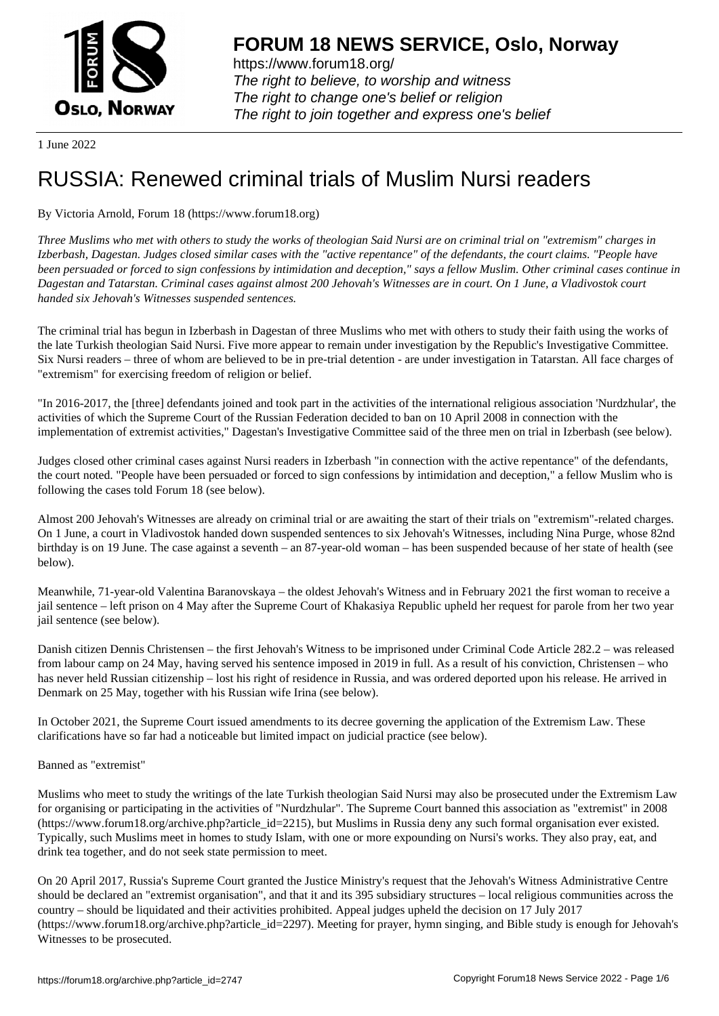

https://www.forum18.org/ The right to believe, to worship and witness The right to change one's belief or religion [The right to join together a](https://www.forum18.org/)nd express one's belief

1 June 2022

# [RUSSIA: Renew](https://www.forum18.org)ed criminal trials of Muslim Nursi readers

# By Victoria Arnold, Forum 18 (https://www.forum18.org)

*Three Muslims who met with others to study the works of theologian Said Nursi are on criminal trial on "extremism" charges in Izberbash, Dagestan. Judges closed similar cases with the "active repentance" of the defendants, the court claims. "People have been persuaded or forced to sign confessions by intimidation and deception," says a fellow Muslim. Other criminal cases continue in Dagestan and Tatarstan. Criminal cases against almost 200 Jehovah's Witnesses are in court. On 1 June, a Vladivostok court handed six Jehovah's Witnesses suspended sentences.*

The criminal trial has begun in Izberbash in Dagestan of three Muslims who met with others to study their faith using the works of the late Turkish theologian Said Nursi. Five more appear to remain under investigation by the Republic's Investigative Committee. Six Nursi readers – three of whom are believed to be in pre-trial detention - are under investigation in Tatarstan. All face charges of "extremism" for exercising freedom of religion or belief.

"In 2016-2017, the [three] defendants joined and took part in the activities of the international religious association 'Nurdzhular', the activities of which the Supreme Court of the Russian Federation decided to ban on 10 April 2008 in connection with the implementation of extremist activities," Dagestan's Investigative Committee said of the three men on trial in Izberbash (see below).

Judges closed other criminal cases against Nursi readers in Izberbash "in connection with the active repentance" of the defendants, the court noted. "People have been persuaded or forced to sign confessions by intimidation and deception," a fellow Muslim who is following the cases told Forum 18 (see below).

Almost 200 Jehovah's Witnesses are already on criminal trial or are awaiting the start of their trials on "extremism"-related charges. On 1 June, a court in Vladivostok handed down suspended sentences to six Jehovah's Witnesses, including Nina Purge, whose 82nd birthday is on 19 June. The case against a seventh – an 87-year-old woman – has been suspended because of her state of health (see below).

Meanwhile, 71-year-old Valentina Baranovskaya – the oldest Jehovah's Witness and in February 2021 the first woman to receive a jail sentence – left prison on 4 May after the Supreme Court of Khakasiya Republic upheld her request for parole from her two year jail sentence (see below).

Danish citizen Dennis Christensen – the first Jehovah's Witness to be imprisoned under Criminal Code Article 282.2 – was released from labour camp on 24 May, having served his sentence imposed in 2019 in full. As a result of his conviction, Christensen – who has never held Russian citizenship – lost his right of residence in Russia, and was ordered deported upon his release. He arrived in Denmark on 25 May, together with his Russian wife Irina (see below).

In October 2021, the Supreme Court issued amendments to its decree governing the application of the Extremism Law. These clarifications have so far had a noticeable but limited impact on judicial practice (see below).

Banned as "extremist"

Muslims who meet to study the writings of the late Turkish theologian Said Nursi may also be prosecuted under the Extremism Law for organising or participating in the activities of "Nurdzhular". The Supreme Court banned this association as "extremist" in 2008 (https://www.forum18.org/archive.php?article\_id=2215), but Muslims in Russia deny any such formal organisation ever existed. Typically, such Muslims meet in homes to study Islam, with one or more expounding on Nursi's works. They also pray, eat, and drink tea together, and do not seek state permission to meet.

On 20 April 2017, Russia's Supreme Court granted the Justice Ministry's request that the Jehovah's Witness Administrative Centre should be declared an "extremist organisation", and that it and its 395 subsidiary structures – local religious communities across the country – should be liquidated and their activities prohibited. Appeal judges upheld the decision on 17 July 2017 (https://www.forum18.org/archive.php?article\_id=2297). Meeting for prayer, hymn singing, and Bible study is enough for Jehovah's Witnesses to be prosecuted.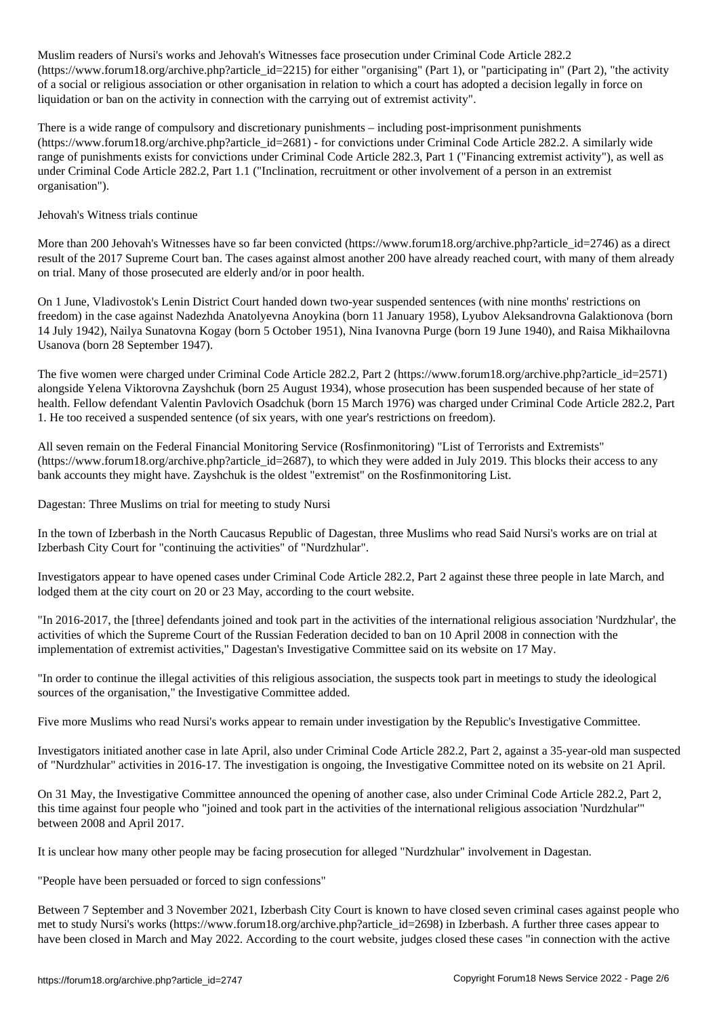Muslim readers of Nursi's works and Jehovah's Witnesses face prosecution under Criminal Code Article 282.2 (https://www.forum18.org/archive.php?article\_id=2215) for either "organising" (Part 1), or "participating in" (Part 2), "the activity of a social or religious association or other organisation in relation to which a court has adopted a decision legally in force on liquidation or ban on the activity in connection with the carrying out of extremist activity".

There is a wide range of compulsory and discretionary punishments – including post-imprisonment punishments (https://www.forum18.org/archive.php?article\_id=2681) - for convictions under Criminal Code Article 282.2. A similarly wide range of punishments exists for convictions under Criminal Code Article 282.3, Part 1 ("Financing extremist activity"), as well as under Criminal Code Article 282.2, Part 1.1 ("Inclination, recruitment or other involvement of a person in an extremist organisation").

#### Jehovah's Witness trials continue

More than 200 Jehovah's Witnesses have so far been convicted (https://www.forum18.org/archive.php?article\_id=2746) as a direct result of the 2017 Supreme Court ban. The cases against almost another 200 have already reached court, with many of them already on trial. Many of those prosecuted are elderly and/or in poor health.

On 1 June, Vladivostok's Lenin District Court handed down two-year suspended sentences (with nine months' restrictions on freedom) in the case against Nadezhda Anatolyevna Anoykina (born 11 January 1958), Lyubov Aleksandrovna Galaktionova (born 14 July 1942), Nailya Sunatovna Kogay (born 5 October 1951), Nina Ivanovna Purge (born 19 June 1940), and Raisa Mikhailovna Usanova (born 28 September 1947).

The five women were charged under Criminal Code Article 282.2, Part 2 (https://www.forum18.org/archive.php?article\_id=2571) alongside Yelena Viktorovna Zayshchuk (born 25 August 1934), whose prosecution has been suspended because of her state of health. Fellow defendant Valentin Pavlovich Osadchuk (born 15 March 1976) was charged under Criminal Code Article 282.2, Part 1. He too received a suspended sentence (of six years, with one year's restrictions on freedom).

All seven remain on the Federal Financial Monitoring Service (Rosfinmonitoring) "List of Terrorists and Extremists"  $(\text{https://www.forum18.org/archive.php?article} \text{ id} = 2687)$ , to which they were added in July 2019. This blocks their access to any bank accounts they might have. Zayshchuk is the oldest "extremist" on the Rosfinmonitoring List.

Dagestan: Three Muslims on trial for meeting to study Nursi

In the town of Izberbash in the North Caucasus Republic of Dagestan, three Muslims who read Said Nursi's works are on trial at Izberbash City Court for "continuing the activities" of "Nurdzhular".

Investigators appear to have opened cases under Criminal Code Article 282.2, Part 2 against these three people in late March, and lodged them at the city court on 20 or 23 May, according to the court website.

"In 2016-2017, the [three] defendants joined and took part in the activities of the international religious association 'Nurdzhular', the activities of which the Supreme Court of the Russian Federation decided to ban on 10 April 2008 in connection with the implementation of extremist activities," Dagestan's Investigative Committee said on its website on 17 May.

"In order to continue the illegal activities of this religious association, the suspects took part in meetings to study the ideological sources of the organisation," the Investigative Committee added.

Five more Muslims who read Nursi's works appear to remain under investigation by the Republic's Investigative Committee.

Investigators initiated another case in late April, also under Criminal Code Article 282.2, Part 2, against a 35-year-old man suspected of "Nurdzhular" activities in 2016-17. The investigation is ongoing, the Investigative Committee noted on its website on 21 April.

On 31 May, the Investigative Committee announced the opening of another case, also under Criminal Code Article 282.2, Part 2, this time against four people who "joined and took part in the activities of the international religious association 'Nurdzhular'" between 2008 and April 2017.

It is unclear how many other people may be facing prosecution for alleged "Nurdzhular" involvement in Dagestan.

"People have been persuaded or forced to sign confessions"

Between 7 September and 3 November 2021, Izberbash City Court is known to have closed seven criminal cases against people who met to study Nursi's works (https://www.forum18.org/archive.php?article\_id=2698) in Izberbash. A further three cases appear to have been closed in March and May 2022. According to the court website, judges closed these cases "in connection with the active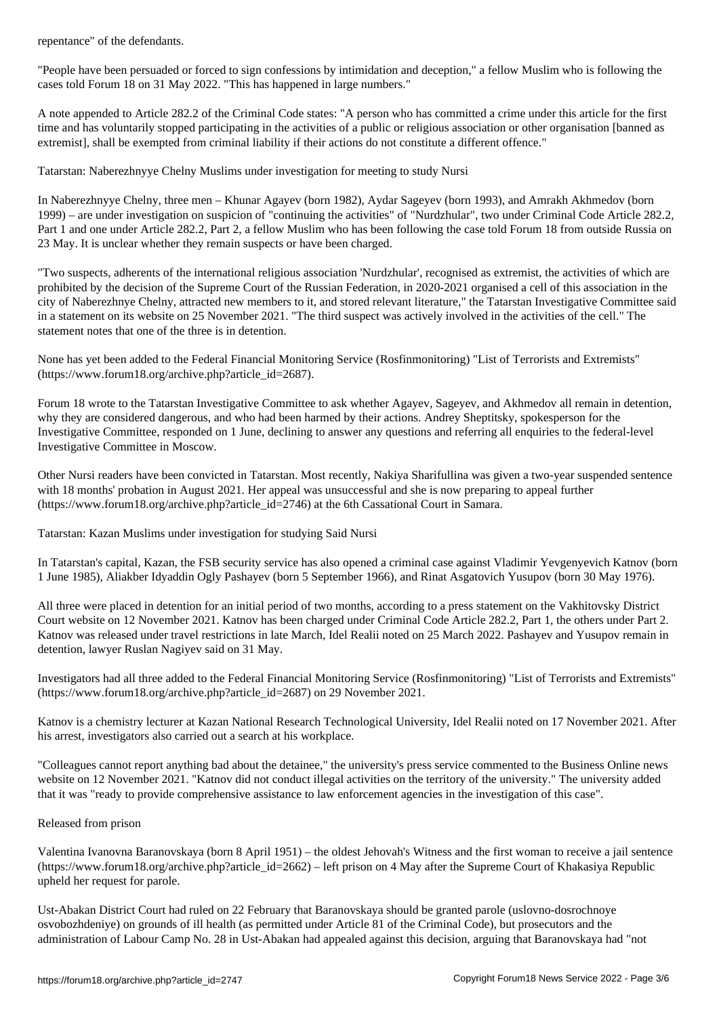"People have been persuaded or forced to sign confessions by intimidation and deception," a fellow Muslim who is following the cases told Forum 18 on 31 May 2022. "This has happened in large numbers."

A note appended to Article 282.2 of the Criminal Code states: "A person who has committed a crime under this article for the first time and has voluntarily stopped participating in the activities of a public or religious association or other organisation [banned as extremist], shall be exempted from criminal liability if their actions do not constitute a different offence."

Tatarstan: Naberezhnyye Chelny Muslims under investigation for meeting to study Nursi

In Naberezhnyye Chelny, three men – Khunar Agayev (born 1982), Aydar Sageyev (born 1993), and Amrakh Akhmedov (born 1999) – are under investigation on suspicion of "continuing the activities" of "Nurdzhular", two under Criminal Code Article 282.2, Part 1 and one under Article 282.2, Part 2, a fellow Muslim who has been following the case told Forum 18 from outside Russia on 23 May. It is unclear whether they remain suspects or have been charged.

"Two suspects, adherents of the international religious association 'Nurdzhular', recognised as extremist, the activities of which are prohibited by the decision of the Supreme Court of the Russian Federation, in 2020-2021 organised a cell of this association in the city of Naberezhnye Chelny, attracted new members to it, and stored relevant literature," the Tatarstan Investigative Committee said in a statement on its website on 25 November 2021. "The third suspect was actively involved in the activities of the cell." The statement notes that one of the three is in detention.

None has yet been added to the Federal Financial Monitoring Service (Rosfinmonitoring) "List of Terrorists and Extremists" (https://www.forum18.org/archive.php?article\_id=2687).

Forum 18 wrote to the Tatarstan Investigative Committee to ask whether Agayev, Sageyev, and Akhmedov all remain in detention, why they are considered dangerous, and who had been harmed by their actions. Andrey Sheptitsky, spokesperson for the Investigative Committee, responded on 1 June, declining to answer any questions and referring all enquiries to the federal-level Investigative Committee in Moscow.

Other Nursi readers have been convicted in Tatarstan. Most recently, Nakiya Sharifullina was given a two-year suspended sentence with 18 months' probation in August 2021. Her appeal was unsuccessful and she is now preparing to appeal further (https://www.forum18.org/archive.php?article\_id=2746) at the 6th Cassational Court in Samara.

Tatarstan: Kazan Muslims under investigation for studying Said Nursi

In Tatarstan's capital, Kazan, the FSB security service has also opened a criminal case against Vladimir Yevgenyevich Katnov (born 1 June 1985), Aliakber Idyaddin Ogly Pashayev (born 5 September 1966), and Rinat Asgatovich Yusupov (born 30 May 1976).

All three were placed in detention for an initial period of two months, according to a press statement on the Vakhitovsky District Court website on 12 November 2021. Katnov has been charged under Criminal Code Article 282.2, Part 1, the others under Part 2. Katnov was released under travel restrictions in late March, Idel Realii noted on 25 March 2022. Pashayev and Yusupov remain in detention, lawyer Ruslan Nagiyev said on 31 May.

Investigators had all three added to the Federal Financial Monitoring Service (Rosfinmonitoring) "List of Terrorists and Extremists" (https://www.forum18.org/archive.php?article\_id=2687) on 29 November 2021.

Katnov is a chemistry lecturer at Kazan National Research Technological University, Idel Realii noted on 17 November 2021. After his arrest, investigators also carried out a search at his workplace.

"Colleagues cannot report anything bad about the detainee," the university's press service commented to the Business Online news website on 12 November 2021. "Katnov did not conduct illegal activities on the territory of the university." The university added that it was "ready to provide comprehensive assistance to law enforcement agencies in the investigation of this case".

## Released from prison

Valentina Ivanovna Baranovskaya (born 8 April 1951) – the oldest Jehovah's Witness and the first woman to receive a jail sentence  $(\text{https://www.forum18.org/architecture.php?article id=2662) - left prison on 4 May after the Supreme Court of Khakasiva Republic})$ upheld her request for parole.

Ust-Abakan District Court had ruled on 22 February that Baranovskaya should be granted parole (uslovno-dosrochnoye osvobozhdeniye) on grounds of ill health (as permitted under Article 81 of the Criminal Code), but prosecutors and the administration of Labour Camp No. 28 in Ust-Abakan had appealed against this decision, arguing that Baranovskaya had "not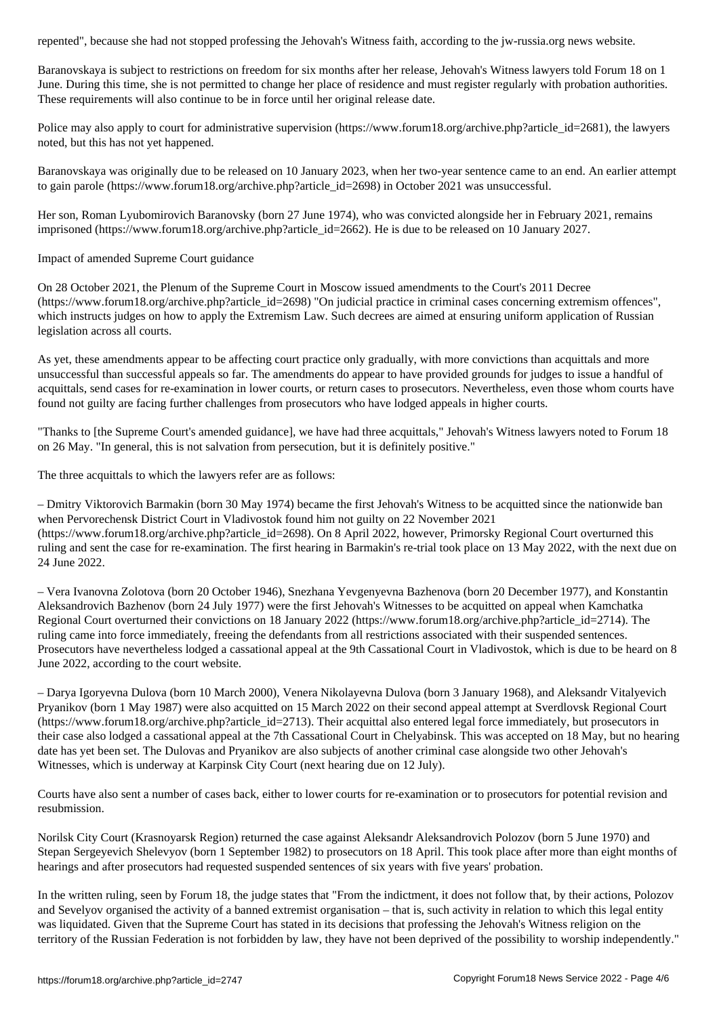Baranovskaya is subject to restrictions on freedom for six months after her release, Jehovah's Witness lawyers told Forum 18 on 1 June. During this time, she is not permitted to change her place of residence and must register regularly with probation authorities. These requirements will also continue to be in force until her original release date.

Police may also apply to court for administrative supervision (https://www.forum18.org/archive.php?article\_id=2681), the lawyers noted, but this has not yet happened.

Baranovskaya was originally due to be released on 10 January 2023, when her two-year sentence came to an end. An earlier attempt to gain parole (https://www.forum18.org/archive.php?article\_id=2698) in October 2021 was unsuccessful.

Her son, Roman Lyubomirovich Baranovsky (born 27 June 1974), who was convicted alongside her in February 2021, remains imprisoned (https://www.forum18.org/archive.php?article\_id=2662). He is due to be released on 10 January 2027.

Impact of amended Supreme Court guidance

On 28 October 2021, the Plenum of the Supreme Court in Moscow issued amendments to the Court's 2011 Decree (https://www.forum18.org/archive.php?article\_id=2698) "On judicial practice in criminal cases concerning extremism offences", which instructs judges on how to apply the Extremism Law. Such decrees are aimed at ensuring uniform application of Russian legislation across all courts.

As yet, these amendments appear to be affecting court practice only gradually, with more convictions than acquittals and more unsuccessful than successful appeals so far. The amendments do appear to have provided grounds for judges to issue a handful of acquittals, send cases for re-examination in lower courts, or return cases to prosecutors. Nevertheless, even those whom courts have found not guilty are facing further challenges from prosecutors who have lodged appeals in higher courts.

"Thanks to [the Supreme Court's amended guidance], we have had three acquittals," Jehovah's Witness lawyers noted to Forum 18 on 26 May. "In general, this is not salvation from persecution, but it is definitely positive."

The three acquittals to which the lawyers refer are as follows:

– Dmitry Viktorovich Barmakin (born 30 May 1974) became the first Jehovah's Witness to be acquitted since the nationwide ban when Pervorechensk District Court in Vladivostok found him not guilty on 22 November 2021 (https://www.forum18.org/archive.php?article\_id=2698). On 8 April 2022, however, Primorsky Regional Court overturned this ruling and sent the case for re-examination. The first hearing in Barmakin's re-trial took place on 13 May 2022, with the next due on 24 June 2022.

– Vera Ivanovna Zolotova (born 20 October 1946), Snezhana Yevgenyevna Bazhenova (born 20 December 1977), and Konstantin Aleksandrovich Bazhenov (born 24 July 1977) were the first Jehovah's Witnesses to be acquitted on appeal when Kamchatka Regional Court overturned their convictions on 18 January 2022 (https://www.forum18.org/archive.php?article\_id=2714). The ruling came into force immediately, freeing the defendants from all restrictions associated with their suspended sentences. Prosecutors have nevertheless lodged a cassational appeal at the 9th Cassational Court in Vladivostok, which is due to be heard on 8 June 2022, according to the court website.

– Darya Igoryevna Dulova (born 10 March 2000), Venera Nikolayevna Dulova (born 3 January 1968), and Aleksandr Vitalyevich Pryanikov (born 1 May 1987) were also acquitted on 15 March 2022 on their second appeal attempt at Sverdlovsk Regional Court (https://www.forum18.org/archive.php?article\_id=2713). Their acquittal also entered legal force immediately, but prosecutors in their case also lodged a cassational appeal at the 7th Cassational Court in Chelyabinsk. This was accepted on 18 May, but no hearing date has yet been set. The Dulovas and Pryanikov are also subjects of another criminal case alongside two other Jehovah's Witnesses, which is underway at Karpinsk City Court (next hearing due on 12 July).

Courts have also sent a number of cases back, either to lower courts for re-examination or to prosecutors for potential revision and resubmission.

Norilsk City Court (Krasnoyarsk Region) returned the case against Aleksandr Aleksandrovich Polozov (born 5 June 1970) and Stepan Sergeyevich Shelevyov (born 1 September 1982) to prosecutors on 18 April. This took place after more than eight months of hearings and after prosecutors had requested suspended sentences of six years with five years' probation.

In the written ruling, seen by Forum 18, the judge states that "From the indictment, it does not follow that, by their actions, Polozov and Sevelyov organised the activity of a banned extremist organisation – that is, such activity in relation to which this legal entity was liquidated. Given that the Supreme Court has stated in its decisions that professing the Jehovah's Witness religion on the territory of the Russian Federation is not forbidden by law, they have not been deprived of the possibility to worship independently."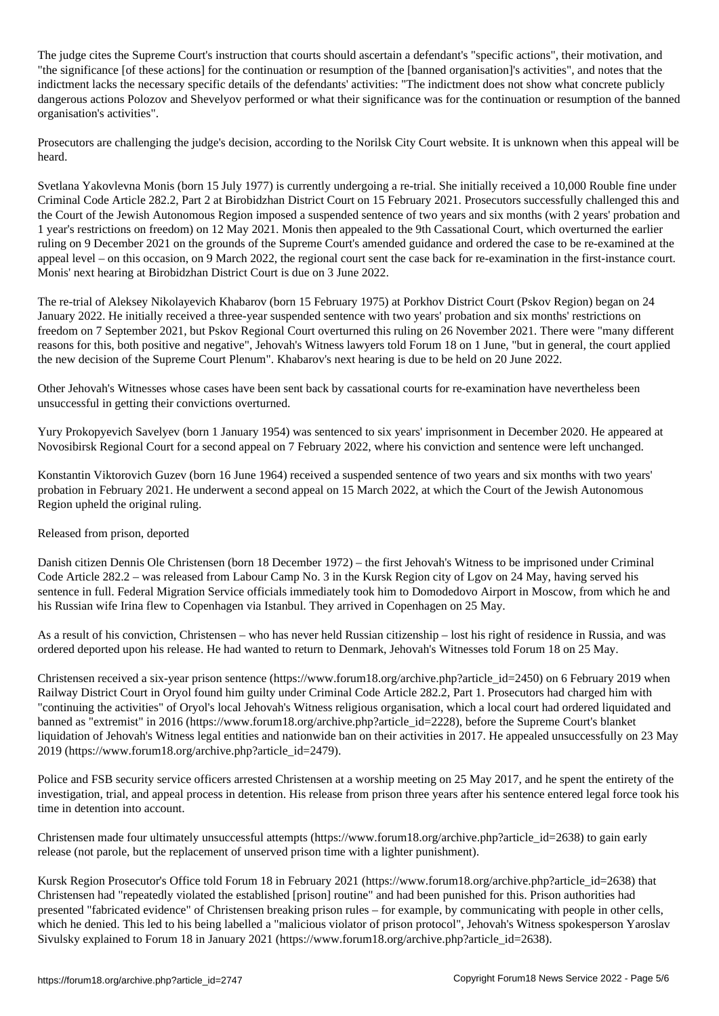The judge cites the Supreme Court's instruction that courts should ascertain a defendant's "specific actions", their motivation, and "the significance [of these actions] for the continuation or resumption of the [banned organisation]'s activities", and notes that the indictment lacks the necessary specific details of the defendants' activities: "The indictment does not show what concrete publicly dangerous actions Polozov and Shevelyov performed or what their significance was for the continuation or resumption of the banned organisation's activities".

Prosecutors are challenging the judge's decision, according to the Norilsk City Court website. It is unknown when this appeal will be heard.

Svetlana Yakovlevna Monis (born 15 July 1977) is currently undergoing a re-trial. She initially received a 10,000 Rouble fine under Criminal Code Article 282.2, Part 2 at Birobidzhan District Court on 15 February 2021. Prosecutors successfully challenged this and the Court of the Jewish Autonomous Region imposed a suspended sentence of two years and six months (with 2 years' probation and 1 year's restrictions on freedom) on 12 May 2021. Monis then appealed to the 9th Cassational Court, which overturned the earlier ruling on 9 December 2021 on the grounds of the Supreme Court's amended guidance and ordered the case to be re-examined at the appeal level – on this occasion, on 9 March 2022, the regional court sent the case back for re-examination in the first-instance court. Monis' next hearing at Birobidzhan District Court is due on 3 June 2022.

The re-trial of Aleksey Nikolayevich Khabarov (born 15 February 1975) at Porkhov District Court (Pskov Region) began on 24 January 2022. He initially received a three-year suspended sentence with two years' probation and six months' restrictions on freedom on 7 September 2021, but Pskov Regional Court overturned this ruling on 26 November 2021. There were "many different reasons for this, both positive and negative", Jehovah's Witness lawyers told Forum 18 on 1 June, "but in general, the court applied the new decision of the Supreme Court Plenum". Khabarov's next hearing is due to be held on 20 June 2022.

Other Jehovah's Witnesses whose cases have been sent back by cassational courts for re-examination have nevertheless been unsuccessful in getting their convictions overturned.

Yury Prokopyevich Savelyev (born 1 January 1954) was sentenced to six years' imprisonment in December 2020. He appeared at Novosibirsk Regional Court for a second appeal on 7 February 2022, where his conviction and sentence were left unchanged.

Konstantin Viktorovich Guzev (born 16 June 1964) received a suspended sentence of two years and six months with two years' probation in February 2021. He underwent a second appeal on 15 March 2022, at which the Court of the Jewish Autonomous Region upheld the original ruling.

## Released from prison, deported

Danish citizen Dennis Ole Christensen (born 18 December 1972) – the first Jehovah's Witness to be imprisoned under Criminal Code Article 282.2 – was released from Labour Camp No. 3 in the Kursk Region city of Lgov on 24 May, having served his sentence in full. Federal Migration Service officials immediately took him to Domodedovo Airport in Moscow, from which he and his Russian wife Irina flew to Copenhagen via Istanbul. They arrived in Copenhagen on 25 May.

As a result of his conviction, Christensen – who has never held Russian citizenship – lost his right of residence in Russia, and was ordered deported upon his release. He had wanted to return to Denmark, Jehovah's Witnesses told Forum 18 on 25 May.

Christensen received a six-year prison sentence (https://www.forum18.org/archive.php?article\_id=2450) on 6 February 2019 when Railway District Court in Oryol found him guilty under Criminal Code Article 282.2, Part 1. Prosecutors had charged him with "continuing the activities" of Oryol's local Jehovah's Witness religious organisation, which a local court had ordered liquidated and banned as "extremist" in 2016 (https://www.forum18.org/archive.php?article\_id=2228), before the Supreme Court's blanket liquidation of Jehovah's Witness legal entities and nationwide ban on their activities in 2017. He appealed unsuccessfully on 23 May 2019 (https://www.forum18.org/archive.php?article\_id=2479).

Police and FSB security service officers arrested Christensen at a worship meeting on 25 May 2017, and he spent the entirety of the investigation, trial, and appeal process in detention. His release from prison three years after his sentence entered legal force took his time in detention into account.

Christensen made four ultimately unsuccessful attempts (https://www.forum18.org/archive.php?article\_id=2638) to gain early release (not parole, but the replacement of unserved prison time with a lighter punishment).

Kursk Region Prosecutor's Office told Forum 18 in February 2021 (https://www.forum18.org/archive.php?article\_id=2638) that Christensen had "repeatedly violated the established [prison] routine" and had been punished for this. Prison authorities had presented "fabricated evidence" of Christensen breaking prison rules – for example, by communicating with people in other cells, which he denied. This led to his being labelled a "malicious violator of prison protocol", Jehovah's Witness spokesperson Yaroslav Sivulsky explained to Forum 18 in January 2021 (https://www.forum18.org/archive.php?article\_id=2638).